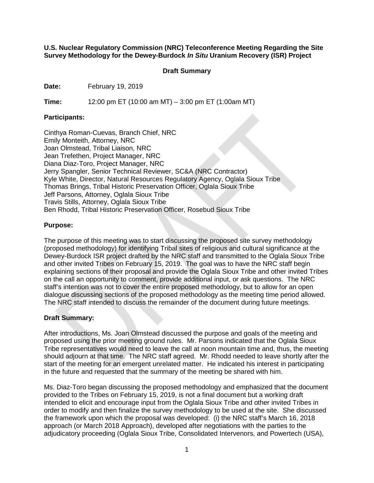**U.S. Nuclear Regulatory Commission (NRC) Teleconference Meeting Regarding the Site Survey Methodology for the Dewey-Burdock** *In Situ* **Uranium Recovery (ISR) Project**

## **Draft Summary**

**Date:** February 19, 2019

**Time:** 12:00 pm ET (10:00 am MT) – 3:00 pm ET (1:00am MT)

## **Participants:**

Cinthya Roman-Cuevas, Branch Chief, NRC Emily Monteith, Attorney, NRC Joan Olmstead, Tribal Liaison, NRC Jean Trefethen, Project Manager, NRC Diana Diaz-Toro, Project Manager, NRC Jerry Spangler, Senior Technical Reviewer, SC&A (NRC Contractor) Kyle White, Director, Natural Resources Regulatory Agency, Oglala Sioux Tribe Thomas Brings, Tribal Historic Preservation Officer, Oglala Sioux Tribe Jeff Parsons, Attorney, Oglala Sioux Tribe Travis Stills, Attorney, Oglala Sioux Tribe Ben Rhodd, Tribal Historic Preservation Officer, Rosebud Sioux Tribe

# **Purpose:**

The purpose of this meeting was to start discussing the proposed site survey methodology (proposed methodology) for identifying Tribal sites of religious and cultural significance at the Dewey-Burdock ISR project drafted by the NRC staff and transmitted to the Oglala Sioux Tribe and other invited Tribes on February 15, 2019. The goal was to have the NRC staff begin explaining sections of their proposal and provide the Oglala Sioux Tribe and other invited Tribes on the call an opportunity to comment, provide additional input, or ask questions. The NRC staff's intention was not to cover the entire proposed methodology, but to allow for an open dialogue discussing sections of the proposed methodology as the meeting time period allowed. The NRC staff intended to discuss the remainder of the document during future meetings.

### **Draft Summary:**

After introductions, Ms. Joan Olmstead discussed the purpose and goals of the meeting and proposed using the prior meeting ground rules. Mr. Parsons indicated that the Oglala Sioux Tribe representatives would need to leave the call at noon mountain time and, thus, the meeting should adjourn at that time. The NRC staff agreed. Mr. Rhodd needed to leave shortly after the start of the meeting for an emergent unrelated matter. He indicated his interest in participating in the future and requested that the summary of the meeting be shared with him.

Ms. Diaz-Toro began discussing the proposed methodology and emphasized that the document provided to the Tribes on February 15, 2019, is not a final document but a working draft intended to elicit and encourage input from the Oglala Sioux Tribe and other invited Tribes in order to modify and then finalize the survey methodology to be used at the site. She discussed the framework upon which the proposal was developed: (i) the NRC staff's March 16, 2018 approach (or March 2018 Approach), developed after negotiations with the parties to the adjudicatory proceeding (Oglala Sioux Tribe, Consolidated Intervenors, and Powertech (USA),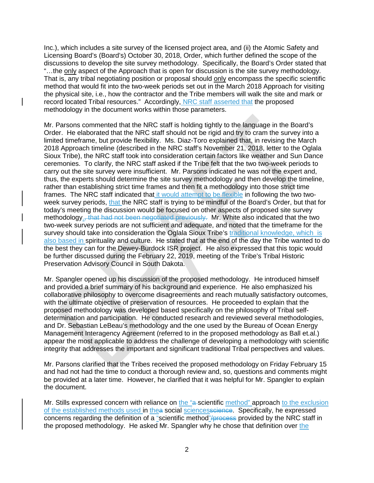Inc.), which includes a site survey of the licensed project area, and (ii) the Atomic Safety and Licensing Board's (Board's) October 30, 2018, Order, which further defined the scope of the discussions to develop the site survey methodology. Specifically, the Board's Order stated that "...the only aspect of the Approach that is open for discussion is the site survey methodology. That is, any tribal negotiating position or proposal should only encompass the specific scientific method that would fit into the two-week periods set out in the March 2018 Approach for visiting the physical site, i.e., how the contractor and the Tribe members will walk the site and mark or record located Tribal resources." Accordingly, NRC staff asserted that the proposed methodology in the document works within those parameters.

Mr. Parsons commented that the NRC staff is holding tightly to the language in the Board's Order. He elaborated that the NRC staff should not be rigid and try to cram the survey into a limited timeframe, but provide flexibility. Ms. Diaz-Toro explained that, in revising the March 2018 Approach timeline (described in the NRC staff's November 21, 2018, letter to the Oglala Sioux Tribe), the NRC staff took into consideration certain factors like weather and Sun Dance ceremonies. To clarify, the NRC staff asked if the Tribe felt that the two two-week periods to carry out the site survey were insufficient. Mr. Parsons indicated he was not the expert and, thus, the experts should determine the site survey methodology and then develop the timeline, rather than establishing strict time frames and then fit a methodology into those strict time frames. The NRC staff indicated that it would attempt to be flexible in following the two twoweek survey periods, that the NRC staff is trying to be mindful of the Board's Order, but that for today's meeting the discussion would be focused on other aspects of proposed site survey methodology. that had not been negotiated previously. Mr. White also indicated that the two two-week survey periods are not sufficient and adequate, and noted that the timeframe for the survey should take into consideration the Oglala Sioux Tribe's traditional knowledge, which is also based in spirituality and culture. He stated that at the end of the day the Tribe wanted to do the best they can for the Dewey-Burdock ISR project. He also expressed that this topic would be further discussed during the February 22, 2019, meeting of the Tribe's Tribal Historic Preservation Advisory Council in South Dakota.

Mr. Spangler opened up his discussion of the proposed methodology. He introduced himself and provided a brief summary of his background and experience. He also emphasized his collaborative philosophy to overcome disagreements and reach mutually satisfactory outcomes, with the ultimate objective of preservation of resources. He proceeded to explain that the proposed methodology was developed based specifically on the philosophy of Tribal selfdetermination and participation. He conducted research and reviewed several methodologies, and Dr. Sebastian LeBeau's methodology and the one used by the Bureau of Ocean Energy Management Interagency Agreement (referred to in the proposed methodology as Ball et.al.) appear the most applicable to address the challenge of developing a methodology with scientific integrity that addresses the important and significant traditional Tribal perspectives and values.

Mr. Parsons clarified that the Tribes received the proposed methodology on Friday February 15 and had not had the time to conduct a thorough review and, so, questions and comments might be provided at a later time. However, he clarified that it was helpful for Mr. Spangler to explain the document.

Mr. Stills expressed concern with reliance on the "a-scientific method" approach to the exclusion of the established methods used in thea social sciencesseience. Specifically, he expressed concerns regarding the definition of a "scientific method"/process provided by the NRC staff in the proposed methodology. He asked Mr. Spangler why he chose that definition over the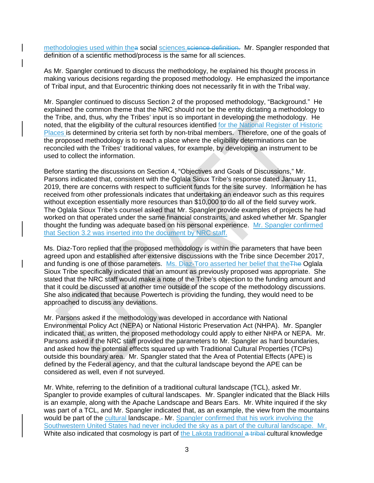methodologies used within thea social sciences science definition. Mr. Spangler responded that definition of a scientific method/process is the same for all sciences.

As Mr. Spangler continued to discuss the methodology, he explained his thought process in making various decisions regarding the proposed methodology. He emphasized the importance of Tribal input, and that Eurocentric thinking does not necessarily fit in with the Tribal way.

Mr. Spangler continued to discuss Section 2 of the proposed methodology, "Background." He explained the common theme that the NRC should not be the entity dictating a methodology to the Tribe, and, thus, why the Tribes' input is so important in developing the methodology. He noted, that the eligibility of the cultural resources identified for the National Register of Historic Places is determined by criteria set forth by non-tribal members. Therefore, one of the goals of the proposed methodology is to reach a place where the eligibility determinations can be reconciled with the Tribes' traditional values, for example, by developing an instrument to be used to collect the information.

Before starting the discussions on Section 4, "Objectives and Goals of Discussions," Mr. Parsons indicated that, consistent with the Oglala Sioux Tribe's response dated January 11, 2019, there are concerns with respect to sufficient funds for the site survey. Information he has received from other professionals indicates that undertaking an endeavor such as this requires without exception essentially more resources than \$10,000 to do all of the field survey work. The Oglala Sioux Tribe's counsel asked that Mr. Spangler provide examples of projects he had worked on that operated under the same financial constraints, and asked whether Mr. Spangler thought the funding was adequate based on his personal experience. Mr. Spangler confirmed that Section 3.2 was inserted into the document by NRC staff.

Ms. Diaz-Toro replied that the proposed methodology is within the parameters that have been agreed upon and established after extensive discussions with the Tribe since December 2017, and funding is one of those parameters. Ms. Diaz-Toro asserted her belief that the The Oglala Sioux Tribe specifically indicated that an amount as previously proposed was appropriate. She stated that the NRC staff would make a note of the Tribe's objection to the funding amount and that it could be discussed at another time outside of the scope of the methodology discussions. She also indicated that because Powertech is providing the funding, they would need to be approached to discuss any deviations.

Mr. Parsons asked if the methodology was developed in accordance with National Environmental Policy Act (NEPA) or National Historic Preservation Act (NHPA). Mr. Spangler indicated that, as written, the proposed methodology could apply to either NHPA or NEPA. Mr. Parsons asked if the NRC staff provided the parameters to Mr. Spangler as hard boundaries, and asked how the potential effects squared up with Traditional Cultural Properties (TCPs) outside this boundary area. Mr. Spangler stated that the Area of Potential Effects (APE) is defined by the Federal agency, and that the cultural landscape beyond the APE can be considered as well, even if not surveyed.

Mr. White, referring to the definition of a traditional cultural landscape (TCL), asked Mr. Spangler to provide examples of cultural landscapes. Mr. Spangler indicated that the Black Hills is an example, along with the Apache Landscape and Bears Ears. Mr. White inquired if the sky was part of a TCL, and Mr. Spangler indicated that, as an example, the view from the mountains would be part of the cultural landscape.- Mr. Spangler confirmed that his work involving the Southwestern United States had never included the sky as a part of the cultural landscape. Mr. White also indicated that cosmology is part of the Lakota traditional a tribal-cultural knowledge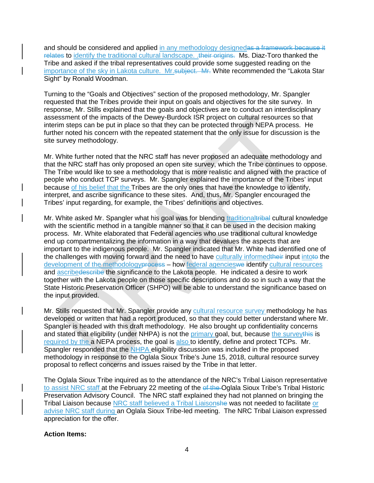and should be considered and applied in any methodology designedas a framework because it relates to identify the traditional cultural landscape. .their origins. Ms. Diaz-Toro thanked the Tribe and asked if the tribal representatives could provide some suggested reading on the importance of the sky in Lakota culture. Mr. subject. Mr. White recommended the "Lakota Star Sight" by Ronald Woodman.

Turning to the "Goals and Objectives" section of the proposed methodology, Mr. Spangler requested that the Tribes provide their input on goals and objectives for the site survey. In response, Mr. Stills explained that the goals and objectives are to conduct an interdisciplinary assessment of the impacts of the Dewey-Burdock ISR project on cultural resources so that interim steps can be put in place so that they can be protected through NEPA process. He further noted his concern with the repeated statement that the only issue for discussion is the site survey methodology.

Mr. White further noted that the NRC staff has never proposed an adequate methodology and that the NRC staff has only proposed an open site survey, which the Tribe continues to oppose. The Tribe would like to see a methodology that is more realistic and aligned with the practice of people who conduct TCP surveys. Mr. Spangler explained the importance of the Tribes' input because of his belief that the Tribes are the only ones that have the knowledge to identify, interpret, and ascribe significance to these sites. And, thus, Mr. Spangler encouraged the Tribes' input regarding, for example, the Tribes' definitions and objectives.

Mr. White asked Mr. Spangler what his goal was for blending traditionaltribal cultural knowledge with the scientific method in a tangible manner so that it can be used in the decision making process. Mr. White elaborated that Federal agencies who use traditional cultural knowledge end up compartmentalizing the information in a way that devalues the aspects that are important to the indigenous people. Mr. Spangler indicated that Mr. White had identified one of the challenges with moving forward and the need to have culturally informedtheir input intote the development of the methodologyprocess – how federal agencieswe identify cultural resources and ascribedescribe the significance to the Lakota people. He indicated a desire to work together with the Lakota people on those specific descriptions and do so in such a way that the State Historic Preservation Officer (SHPO) will be able to understand the significance based on the input provided.

Mr. Stills requested that Mr. Spangler provide any cultural resource survey methodology he has developed or written that had a report produced, so that they could better understand where Mr. Spangler is headed with this draft methodology. He also brought up confidentiality concerns and stated that eligibility (under NHPA) is not the primary goal, but, because the surveythis is required by the a NEPA process, the goal is also to identify, define and protect TCPs. Mr. Spangler responded that the NHPA eligibility discussion was included in the proposed methodology in response to the Oglala Sioux Tribe's June 15, 2018, cultural resource survey proposal to reflect concerns and issues raised by the Tribe in that letter.

The Oglala Sioux Tribe inquired as to the attendance of the NRC's Tribal Liaison representative to assist NRC staff at the February 22 meeting of the of the Oglala Sioux Tribe's Tribal Historic Preservation Advisory Council. The NRC staff explained they had not planned on bringing the Tribal Liaison because NRC staff believed a Tribal Liaisonshe was not needed to facilitate or advise NRC staff during an Oglala Sioux Tribe-led meeting. The NRC Tribal Liaison expressed appreciation for the offer.

# **Action Items:**